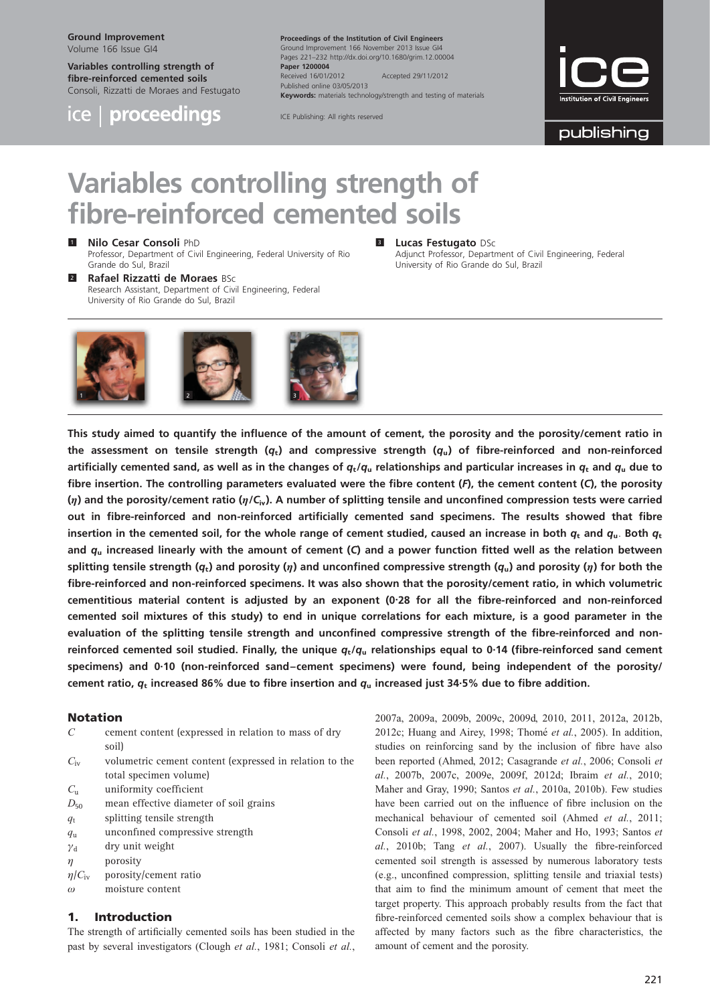#### Ground Improvement Volume 166 Issue GI4

**ICe** 

Variables controlling strength of fibre-reinforced cemented soils Consoli, Rizzatti de Moraes and Festugato

proceedings

Proceedings of the Institution of Civil Engineers Ground Improvement 166 November 2013 Issue GI4 Pages 221–232 http://dx.doi.org/10.1680/grim.12.00004 Paper 1200004<br>Received 16/01/2012 Accepted 29/11/2012 Published online 03/05/2013 Keywords: materials technology/strength and testing of materials

ICE Publishing: All rights reserved



publishing

# Variables controlling strength of fibre-reinforced cemented soils

#### **1 Nilo Cesar Consoli PhD**

Professor, Department of Civil Engineering, Federal University of Rio Grande do Sul, Brazil

# **2** Rafael Rizzatti de Moraes BSc

Research Assistant, Department of Civil Engineering, Federal University of Rio Grande do Sul, Brazil

## **B** Lucas Festugato DSc

Adjunct Professor, Department of Civil Engineering, Federal University of Rio Grande do Sul, Brazil



This study aimed to quantify the influence of the amount of cement, the porosity and the porosity/cement ratio in the assessment on tensile strength ( $q_t$ ) and compressive strength ( $q_u$ ) of fibre-reinforced and non-reinforced artificially cemented sand, as well as in the changes of  $q_t/q_u$  relationships and particular increases in  $q_t$  and  $q_u$  due to fibre insertion. The controlling parameters evaluated were the fibre content (F), the cement content (C), the porosity ( $\eta$ ) and the porosity/cement ratio ( $\eta$ /C<sub>iv</sub>). A number of splitting tensile and unconfined compression tests were carried out in fibre-reinforced and non-reinforced artificially cemented sand specimens. The results showed that fibre insertion in the cemented soil, for the whole range of cement studied, caused an increase in both  $q_t$  and  $q_u$ . Both  $q_t$ and  $q_u$  increased linearly with the amount of cement (C) and a power function fitted well as the relation between splitting tensile strength ( $q_{\rm t}$ ) and porosity ( $\eta$ ) and unconfined compressive strength ( $q_{\rm u}$ ) and porosity ( $\eta$ ) for both the fibre-reinforced and non-reinforced specimens. It was also shown that the porosity/cement ratio, in which volumetric cementitious material content is adjusted by an exponent (0.28 for all the fibre-reinforced and non-reinforced cemented soil mixtures of this study) to end in unique correlations for each mixture, is a good parameter in the evaluation of the splitting tensile strength and unconfined compressive strength of the fibre-reinforced and nonreinforced cemented soil studied. Finally, the unique  $q_t/q_u$  relationships equal to 0.14 (fibre-reinforced sand cement specimens) and 0.10 (non-reinforced sand–cement specimens) were found, being independent of the porosity/ cement ratio,  $q_t$  increased 86% due to fibre insertion and  $q_u$  increased just 34.5% due to fibre addition.

## Notation

- C cement content (expressed in relation to mass of dry soil)  $C_{\text{iv}}$  volumetric cement content (expressed in relation to the total specimen volume)  $C_{\rm u}$  uniformity coefficient
- $D_{50}$  mean effective diameter of soil grains
- $q_t$  splitting tensile strength
- $q_u$  unconfined compressive strength
- $\gamma_d$  dry unit weight
- $\eta$ porosity
- $\eta/C_{\rm iv}$ porosity/cement ratio
- ø moisture content

# 1. Introduction

The strength of artificially cemented soils has been studied in the past by several investigators (Clough et al., 1981; Consoli et al.,

2007a, 2009a, 2009b, 2009c, 2009d, 2010, 2011, 2012a, 2012b, 2012c; Huang and Airey, 1998; Thomé et al., 2005). In addition, studies on reinforcing sand by the inclusion of fibre have also been reported (Ahmed, 2012; Casagrande et al., 2006; Consoli et al., 2007b, 2007c, 2009e, 2009f, 2012d; Ibraim et al., 2010; Maher and Gray, 1990; Santos et al., 2010a, 2010b). Few studies have been carried out on the influence of fibre inclusion on the mechanical behaviour of cemented soil (Ahmed et al., 2011; Consoli et al., 1998, 2002, 2004; Maher and Ho, 1993; Santos et al., 2010b; Tang et al., 2007). Usually the fibre-reinforced cemented soil strength is assessed by numerous laboratory tests (e.g., unconfined compression, splitting tensile and triaxial tests) that aim to find the minimum amount of cement that meet the target property. This approach probably results from the fact that fibre-reinforced cemented soils show a complex behaviour that is affected by many factors such as the fibre characteristics, the amount of cement and the porosity.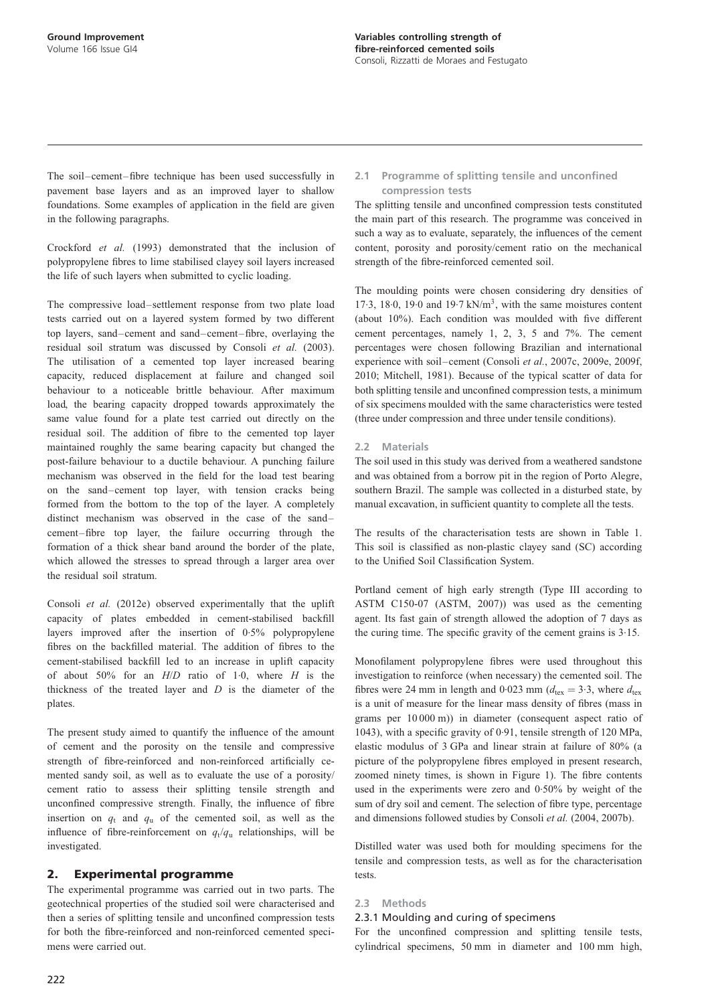The soil–cement–fibre technique has been used successfully in pavement base layers and as an improved layer to shallow foundations. Some examples of application in the field are given in the following paragraphs.

Crockford et al. (1993) demonstrated that the inclusion of polypropylene fibres to lime stabilised clayey soil layers increased the life of such layers when submitted to cyclic loading.

The compressive load–settlement response from two plate load tests carried out on a layered system formed by two different top layers, sand–cement and sand–cement–fibre, overlaying the residual soil stratum was discussed by Consoli et al. (2003). The utilisation of a cemented top layer increased bearing capacity, reduced displacement at failure and changed soil behaviour to a noticeable brittle behaviour. After maximum load, the bearing capacity dropped towards approximately the same value found for a plate test carried out directly on the residual soil. The addition of fibre to the cemented top layer maintained roughly the same bearing capacity but changed the post-failure behaviour to a ductile behaviour. A punching failure mechanism was observed in the field for the load test bearing on the sand–cement top layer, with tension cracks being formed from the bottom to the top of the layer. A completely distinct mechanism was observed in the case of the sand– cement–fibre top layer, the failure occurring through the formation of a thick shear band around the border of the plate, which allowed the stresses to spread through a larger area over the residual soil stratum.

Consoli et al. (2012e) observed experimentally that the uplift capacity of plates embedded in cement-stabilised backfill layers improved after the insertion of 0. 5% polypropylene fibres on the backfilled material. The addition of fibres to the cement-stabilised backfill led to an increase in uplift capacity of about 50% for an  $H/D$  ratio of 1.0, where  $H$  is the thickness of the treated layer and  $D$  is the diameter of the plates.

The present study aimed to quantify the influence of the amount of cement and the porosity on the tensile and compressive strength of fibre-reinforced and non-reinforced artificially cemented sandy soil, as well as to evaluate the use of a porosity/ cement ratio to assess their splitting tensile strength and unconfined compressive strength. Finally, the influence of fibre insertion on  $q_t$  and  $q_u$  of the cemented soil, as well as the influence of fibre-reinforcement on  $q_t/q_u$  relationships, will be investigated.

## 2. Experimental programme

The experimental programme was carried out in two parts. The geotechnical properties of the studied soil were characterised and then a series of splitting tensile and unconfined compression tests for both the fibre-reinforced and non-reinforced cemented specimens were carried out.

## 2.1 Programme of splitting tensile and unconfined compression tests

The splitting tensile and unconfined compression tests constituted the main part of this research. The programme was conceived in such a way as to evaluate, separately, the influences of the cement content, porosity and porosity/cement ratio on the mechanical strength of the fibre-reinforced cemented soil.

The moulding points were chosen considering dry densities of 17.3, 18.0, 19.0 and 19.7 kN/m<sup>3</sup>, with the same moistures content (about 10%). Each condition was moulded with five different cement percentages, namely 1, 2, 3, 5 and 7%. The cement percentages were chosen following Brazilian and international experience with soil–cement (Consoli et al., 2007c, 2009e, 2009f, 2010; Mitchell, 1981). Because of the typical scatter of data for both splitting tensile and unconfined compression tests, a minimum of six specimens moulded with the same characteristics were tested (three under compression and three under tensile conditions).

#### 2.2 Materials

The soil used in this study was derived from a weathered sandstone and was obtained from a borrow pit in the region of Porto Alegre, southern Brazil. The sample was collected in a disturbed state, by manual excavation, in sufficient quantity to complete all the tests.

The results of the characterisation tests are shown in Table 1. This soil is classified as non-plastic clayey sand (SC) according to the Unified Soil Classification System.

Portland cement of high early strength (Type III according to ASTM C150-07 (ASTM, 2007)) was used as the cementing agent. Its fast gain of strength allowed the adoption of 7 days as the curing time. The specific gravity of the cement grains is 3. 15.

Monofilament polypropylene fibres were used throughout this investigation to reinforce (when necessary) the cemented soil. The fibres were 24 mm in length and 0.023 mm ( $d_{\text{tex}} = 3.3$ , where  $d_{\text{tex}}$ is a unit of measure for the linear mass density of fibres (mass in grams per 10 000 m)) in diameter (consequent aspect ratio of 1043), with a specific gravity of 0. 91, tensile strength of 120 MPa, elastic modulus of 3 GPa and linear strain at failure of 80% (a picture of the polypropylene fibres employed in present research, zoomed ninety times, is shown in Figure 1). The fibre contents used in the experiments were zero and 0. 50% by weight of the sum of dry soil and cement. The selection of fibre type, percentage and dimensions followed studies by Consoli et al. (2004, 2007b).

Distilled water was used both for moulding specimens for the tensile and compression tests, as well as for the characterisation tests.

#### 2.3 Methods

#### 2.3.1 Moulding and curing of specimens

For the unconfined compression and splitting tensile tests, cylindrical specimens, 50 mm in diameter and 100 mm high,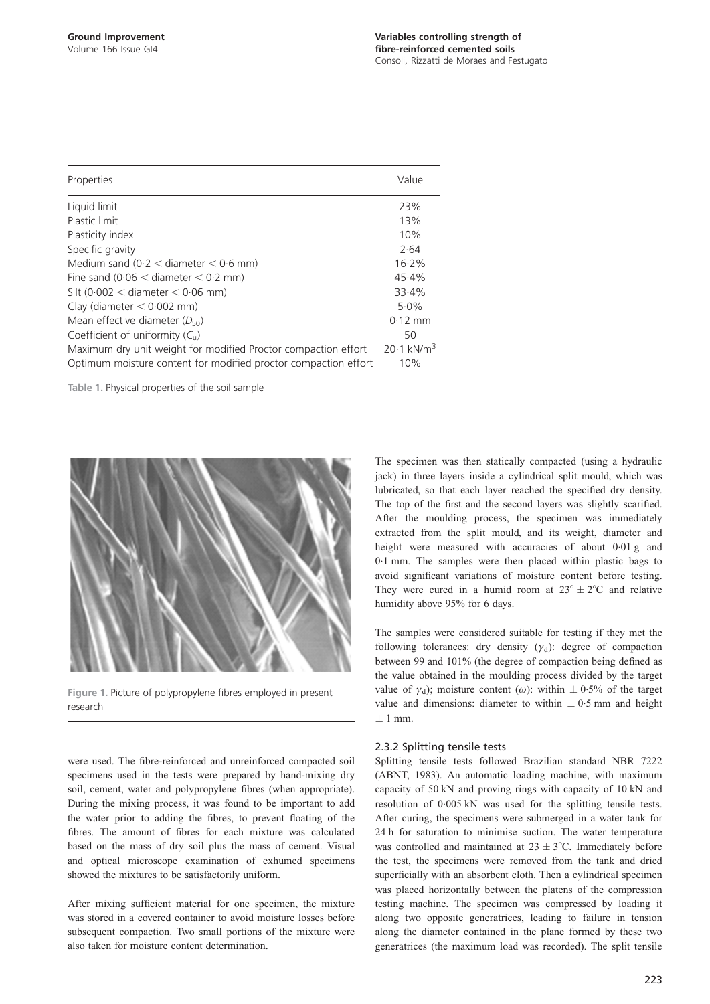| Properties                                                      | Value               |
|-----------------------------------------------------------------|---------------------|
| Liquid limit                                                    | 23%                 |
| Plastic limit                                                   | 13%                 |
| Plasticity index                                                | 10%                 |
| Specific gravity                                                | 7.64                |
| Medium sand (0.2 $<$ diameter $<$ 0.6 mm)                       | 16.2%               |
| Fine sand $(0.06 <$ diameter $< 0.2$ mm)                        | 45.4%               |
| Silt $(0.002 <$ diameter $<$ 0.06 mm)                           | 33.4%               |
| Clay (diameter $< 0.002$ mm)                                    | 5.0%                |
| Mean effective diameter $(D_{50})$                              | $0.12 \, \text{mm}$ |
| Coefficient of uniformity $(C_{1})$                             | 50                  |
| Maximum dry unit weight for modified Proctor compaction effort  | 20.1 kN/ $m^3$      |
| Optimum moisture content for modified proctor compaction effort | 10%                 |

Table 1. Physical properties of the soil sample



Figure 1. Picture of polypropylene fibres employed in present research

were used. The fibre-reinforced and unreinforced compacted soil specimens used in the tests were prepared by hand-mixing dry soil, cement, water and polypropylene fibres (when appropriate). During the mixing process, it was found to be important to add the water prior to adding the fibres, to prevent floating of the fibres. The amount of fibres for each mixture was calculated based on the mass of dry soil plus the mass of cement. Visual and optical microscope examination of exhumed specimens showed the mixtures to be satisfactorily uniform.

After mixing sufficient material for one specimen, the mixture was stored in a covered container to avoid moisture losses before subsequent compaction. Two small portions of the mixture were also taken for moisture content determination.

The specimen was then statically compacted (using a hydraulic jack) in three layers inside a cylindrical split mould, which was lubricated, so that each layer reached the specified dry density. The top of the first and the second layers was slightly scarified. After the moulding process, the specimen was immediately extracted from the split mould, and its weight, diameter and height were measured with accuracies of about 0. 01 g and 0. 1 mm. The samples were then placed within plastic bags to avoid significant variations of moisture content before testing. They were cured in a humid room at  $23^{\circ} \pm 2^{\circ}$ C and relative humidity above 95% for 6 days.

The samples were considered suitable for testing if they met the following tolerances: dry density  $(\gamma_d)$ : degree of compaction between 99 and 101% (the degree of compaction being defined as the value obtained in the moulding process divided by the target value of  $\gamma_d$ ); moisture content ( $\omega$ ): within  $\pm$  0.5% of the target value and dimensions: diameter to within  $\pm$  0.5 mm and height  $\pm$  1 mm.

#### 2.3.2 Splitting tensile tests

Splitting tensile tests followed Brazilian standard NBR 7222 (ABNT, 1983). An automatic loading machine, with maximum capacity of 50 kN and proving rings with capacity of 10 kN and resolution of 0.005 kN was used for the splitting tensile tests. After curing, the specimens were submerged in a water tank for 24 h for saturation to minimise suction. The water temperature was controlled and maintained at  $23 \pm 3^{\circ}$ C. Immediately before the test, the specimens were removed from the tank and dried superficially with an absorbent cloth. Then a cylindrical specimen was placed horizontally between the platens of the compression testing machine. The specimen was compressed by loading it along two opposite generatrices, leading to failure in tension along the diameter contained in the plane formed by these two generatrices (the maximum load was recorded). The split tensile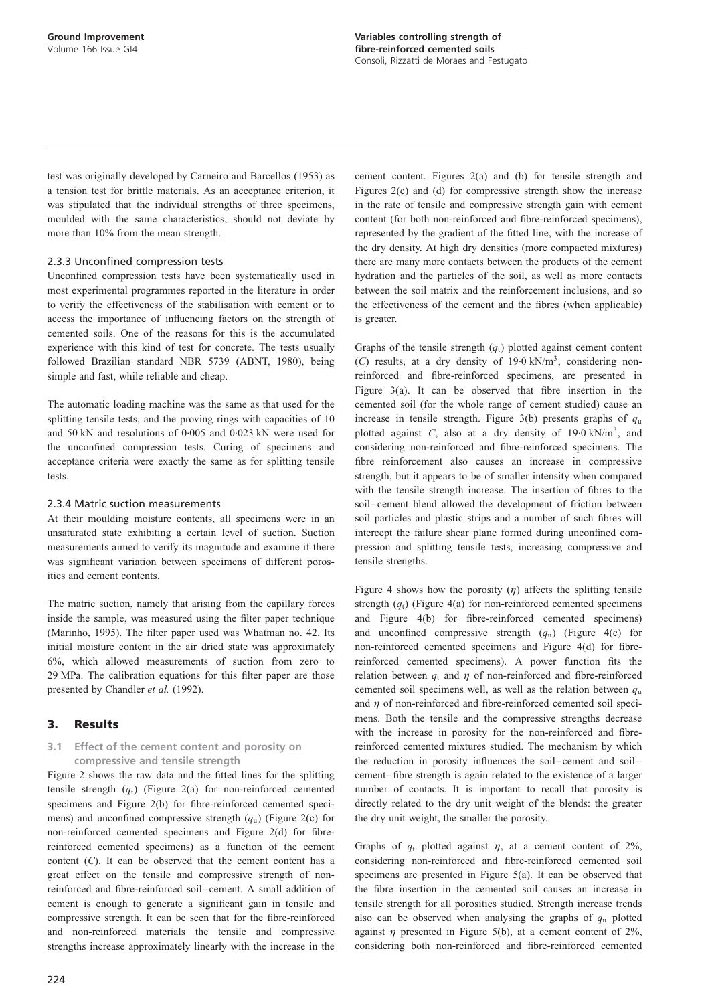test was originally developed by Carneiro and Barcellos (1953) as a tension test for brittle materials. As an acceptance criterion, it was stipulated that the individual strengths of three specimens, moulded with the same characteristics, should not deviate by more than 10% from the mean strength.

## 2.3.3 Unconfined compression tests

Unconfined compression tests have been systematically used in most experimental programmes reported in the literature in order to verify the effectiveness of the stabilisation with cement or to access the importance of influencing factors on the strength of cemented soils. One of the reasons for this is the accumulated experience with this kind of test for concrete. The tests usually followed Brazilian standard NBR 5739 (ABNT, 1980), being simple and fast, while reliable and cheap.

The automatic loading machine was the same as that used for the splitting tensile tests, and the proving rings with capacities of 10 and 50 kN and resolutions of 0.005 and 0.023 kN were used for the unconfined compression tests. Curing of specimens and acceptance criteria were exactly the same as for splitting tensile tests.

#### 2.3.4 Matric suction measurements

At their moulding moisture contents, all specimens were in an unsaturated state exhibiting a certain level of suction. Suction measurements aimed to verify its magnitude and examine if there was significant variation between specimens of different porosities and cement contents.

The matric suction, namely that arising from the capillary forces inside the sample, was measured using the filter paper technique (Marinho, 1995). The filter paper used was Whatman no. 42. Its initial moisture content in the air dried state was approximately 6%, which allowed measurements of suction from zero to 29 MPa. The calibration equations for this filter paper are those presented by Chandler et al. (1992).

# 3. Results

## 3.1 Effect of the cement content and porosity on compressive and tensile strength

Figure 2 shows the raw data and the fitted lines for the splitting tensile strength  $(q_t)$  (Figure 2(a) for non-reinforced cemented specimens and Figure 2(b) for fibre-reinforced cemented specimens) and unconfined compressive strength  $(q<sub>u</sub>)$  (Figure 2(c) for non-reinforced cemented specimens and Figure 2(d) for fibrereinforced cemented specimens) as a function of the cement content  $(C)$ . It can be observed that the cement content has a great effect on the tensile and compressive strength of nonreinforced and fibre-reinforced soil–cement. A small addition of cement is enough to generate a significant gain in tensile and compressive strength. It can be seen that for the fibre-reinforced and non-reinforced materials the tensile and compressive strengths increase approximately linearly with the increase in the

cement content. Figures 2(a) and (b) for tensile strength and Figures 2(c) and (d) for compressive strength show the increase in the rate of tensile and compressive strength gain with cement content (for both non-reinforced and fibre-reinforced specimens), represented by the gradient of the fitted line, with the increase of the dry density. At high dry densities (more compacted mixtures) there are many more contacts between the products of the cement hydration and the particles of the soil, as well as more contacts between the soil matrix and the reinforcement inclusions, and so the effectiveness of the cement and the fibres (when applicable) is greater.

Graphs of the tensile strength  $(q_t)$  plotted against cement content (C) results, at a dry density of  $19.0 \text{ kN/m}^3$ , considering nonreinforced and fibre-reinforced specimens, are presented in Figure 3(a). It can be observed that fibre insertion in the cemented soil (for the whole range of cement studied) cause an increase in tensile strength. Figure 3(b) presents graphs of  $q_u$ plotted against C, also at a dry density of  $19.0 \text{ kN/m}^3$ , and considering non-reinforced and fibre-reinforced specimens. The fibre reinforcement also causes an increase in compressive strength, but it appears to be of smaller intensity when compared with the tensile strength increase. The insertion of fibres to the soil–cement blend allowed the development of friction between soil particles and plastic strips and a number of such fibres will intercept the failure shear plane formed during unconfined compression and splitting tensile tests, increasing compressive and tensile strengths.

Figure 4 shows how the porosity  $(\eta)$  affects the splitting tensile strength  $(q_t)$  (Figure 4(a) for non-reinforced cemented specimens and Figure 4(b) for fibre-reinforced cemented specimens) and unconfined compressive strength  $(q_u)$  (Figure 4(c) for non-reinforced cemented specimens and Figure 4(d) for fibrereinforced cemented specimens). A power function fits the relation between  $q_t$  and  $\eta$  of non-reinforced and fibre-reinforced cemented soil specimens well, as well as the relation between  $q_{\rm u}$ and  $\eta$  of non-reinforced and fibre-reinforced cemented soil specimens. Both the tensile and the compressive strengths decrease with the increase in porosity for the non-reinforced and fibrereinforced cemented mixtures studied. The mechanism by which the reduction in porosity influences the soil–cement and soil– cement–fibre strength is again related to the existence of a larger number of contacts. It is important to recall that porosity is directly related to the dry unit weight of the blends: the greater the dry unit weight, the smaller the porosity.

Graphs of  $q_t$  plotted against  $\eta$ , at a cement content of 2%, considering non-reinforced and fibre-reinforced cemented soil specimens are presented in Figure 5(a). It can be observed that the fibre insertion in the cemented soil causes an increase in tensile strength for all porosities studied. Strength increase trends also can be observed when analysing the graphs of  $q_u$  plotted against  $\eta$  presented in Figure 5(b), at a cement content of 2%, considering both non-reinforced and fibre-reinforced cemented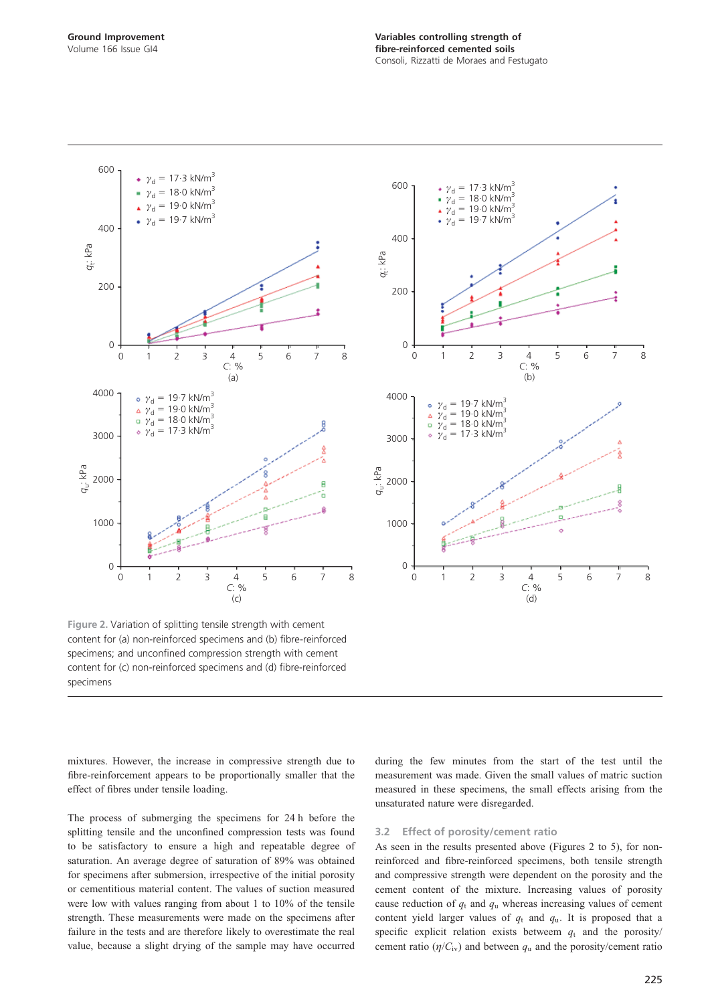

content for (a) non-reinforced specimens and (b) fibre-reinforced specimens; and unconfined compression strength with cement content for (c) non-reinforced specimens and (d) fibre-reinforced specimens

mixtures. However, the increase in compressive strength due to fibre-reinforcement appears to be proportionally smaller that the effect of fibres under tensile loading.

The process of submerging the specimens for 24 h before the splitting tensile and the unconfined compression tests was found to be satisfactory to ensure a high and repeatable degree of saturation. An average degree of saturation of 89% was obtained for specimens after submersion, irrespective of the initial porosity or cementitious material content. The values of suction measured were low with values ranging from about 1 to 10% of the tensile strength. These measurements were made on the specimens after failure in the tests and are therefore likely to overestimate the real value, because a slight drying of the sample may have occurred

during the few minutes from the start of the test until the measurement was made. Given the small values of matric suction measured in these specimens, the small effects arising from the unsaturated nature were disregarded.

#### 3.2 Effect of porosity/cement ratio

As seen in the results presented above (Figures 2 to 5), for nonreinforced and fibre-reinforced specimens, both tensile strength and compressive strength were dependent on the porosity and the cement content of the mixture. Increasing values of porosity cause reduction of  $q_t$  and  $q_u$  whereas increasing values of cement content yield larger values of  $q_t$  and  $q_u$ . It is proposed that a specific explicit relation exists betweem  $q_t$  and the porosity/ cement ratio ( $\eta/C_{\text{iv}}$ ) and between  $q_{\text{u}}$  and the porosity/cement ratio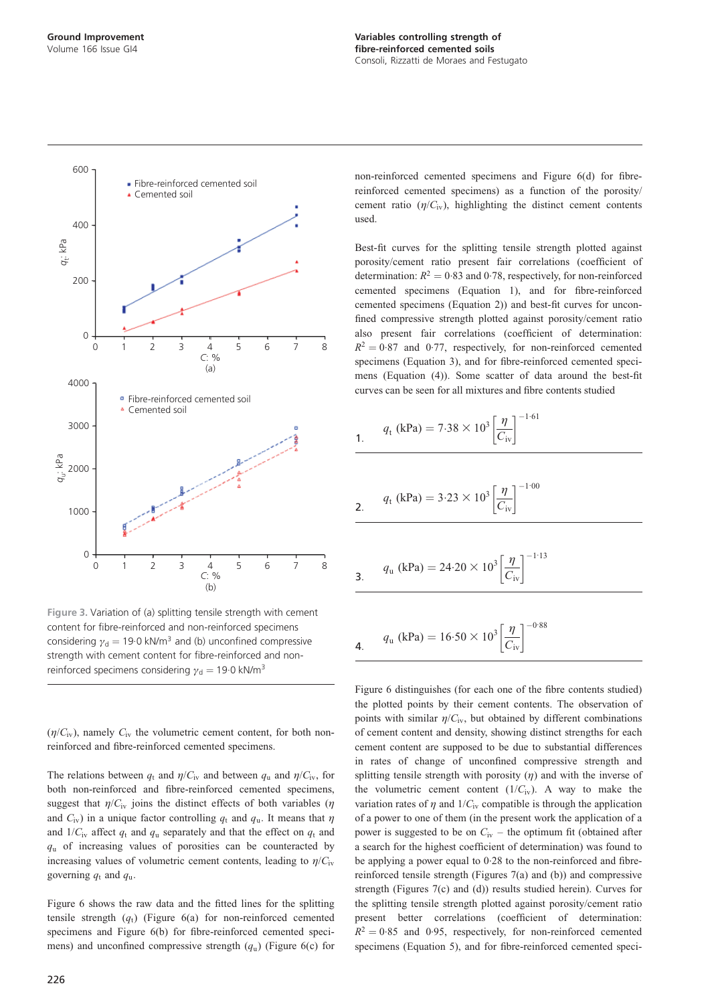

Figure 3. Variation of (a) splitting tensile strength with cement content for fibre-reinforced and non-reinforced specimens considering  $\gamma_d = 19.0 \text{ kN/m}^3$  and (b) unconfined compressive strength with cement content for fibre-reinforced and nonreinforced specimens considering  $\gamma_d = 19.0 \text{ kN/m}^3$ 

 $(\eta/C_{\rm iv})$ , namely  $C_{\rm iv}$  the volumetric cement content, for both nonreinforced and fibre-reinforced cemented specimens.

The relations between  $q_t$  and  $\eta/C_{iv}$  and between  $q_u$  and  $\eta/C_{iv}$ , for both non-reinforced and fibre-reinforced cemented specimens, suggest that  $\eta/C_{\text{iv}}$  joins the distinct effects of both variables ( $\eta$ and  $C_{iv}$ ) in a unique factor controlling  $q_t$  and  $q_u$ . It means that  $\eta$ and  $1/C_{iv}$  affect  $q_t$  and  $q_u$  separately and that the effect on  $q_t$  and  $q_u$  of increasing values of porosities can be counteracted by increasing values of volumetric cement contents, leading to  $\eta/C_{\text{iv}}$ governing  $q_t$  and  $q_u$ .

Figure 6 shows the raw data and the fitted lines for the splitting tensile strength  $(q_t)$  (Figure 6(a) for non-reinforced cemented specimens and Figure 6(b) for fibre-reinforced cemented specimens) and unconfined compressive strength  $(q_u)$  (Figure 6(c) for non-reinforced cemented specimens and Figure 6(d) for fibrereinforced cemented specimens) as a function of the porosity/ cement ratio  $(\eta/C_{\rm iv})$ , highlighting the distinct cement contents used.

Best-fit curves for the splitting tensile strength plotted against porosity/cement ratio present fair correlations (coefficient of determination:  $R^2 = 0.83$  and 0.78, respectively, for non-reinforced cemented specimens (Equation 1), and for fibre-reinforced cemented specimens (Equation 2)) and best-fit curves for unconfined compressive strength plotted against porosity/cement ratio also present fair correlations (coefficient of determination:  $R^2 = 0.87$  and 0.77, respectively, for non-reinforced cemented specimens (Equation 3), and for fibre-reinforced cemented specimens (Equation (4)). Some scatter of data around the best-fit curves can be seen for all mixtures and fibre contents studied

1. 
$$
q_t \text{ (kPa)} = 7.38 \times 10^3 \left[ \frac{\eta}{C_{\text{iv}}} \right]^{-1.61}
$$

2. 
$$
q_t \text{ (kPa)} = 3.23 \times 10^3 \left[ \frac{\eta}{C_{\text{iv}}} \right]^{-1.00}
$$

3. 
$$
q_u \text{ (kPa)} = 24.20 \times 10^3 \left[ \frac{\eta}{C_{\text{iv}}} \right]^{-1.13}
$$

4. 
$$
q_u \text{ (kPa)} = 16.50 \times 10^3 \left[ \frac{\eta}{C_{\text{iv}}} \right]^{-0.88}
$$

Figure 6 distinguishes (for each one of the fibre contents studied) the plotted points by their cement contents. The observation of points with similar  $\eta/C_{\text{iv}}$ , but obtained by different combinations of cement content and density, showing distinct strengths for each cement content are supposed to be due to substantial differences in rates of change of unconfined compressive strength and splitting tensile strength with porosity  $(\eta)$  and with the inverse of the volumetric cement content  $(1/C_{iv})$ . A way to make the variation rates of  $\eta$  and  $1/C_{iv}$  compatible is through the application of a power to one of them (in the present work the application of a power is suggested to be on  $C_{iv}$  – the optimum fit (obtained after a search for the highest coefficient of determination) was found to be applying a power equal to 0. 28 to the non-reinforced and fibrereinforced tensile strength (Figures 7(a) and (b)) and compressive strength (Figures 7(c) and (d)) results studied herein). Curves for the splitting tensile strength plotted against porosity/cement ratio present better correlations (coefficient of determination:  $R^2 = 0.85$  and 0.95, respectively, for non-reinforced cemented specimens (Equation 5), and for fibre-reinforced cemented speci-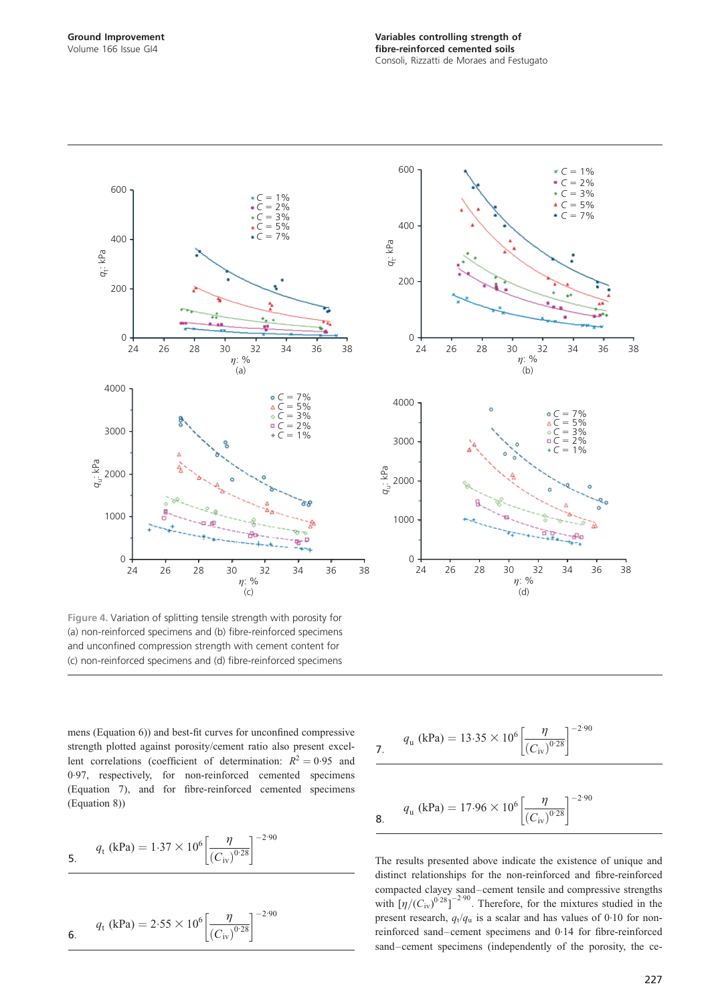

Figure 4. Variation of splitting tensile strength with porosity for (a) non-reinforced specimens and (b) fibre-reinforced specimens and unconfined compression strength with cement content for (c) non-reinforced specimens and (d) fibre-reinforced specimens

mens (Equation 6)) and best-fit curves for unconfined compressive strength plotted against porosity/cement ratio also present excellent correlations (coefficient of determination:  $R^2 = 0.95$  and 0. 97, respectively, for non-reinforced cemented specimens (Equation 7), and for fibre-reinforced cemented specimens (Equation 8))

5. 
$$
q_t \text{ (kPa)} = 1.37 \times 10^6 \left[ \frac{\eta}{(C_{\text{iv}})^{0.28}} \right]^{-2.90}
$$

6. 
$$
q_t \text{ (kPa)} = 2.55 \times 10^6 \left[ \frac{\eta}{(C_{\text{iv}})^{0.28}} \right]^{-2.90}
$$

7. 
$$
q_u \text{ (kPa)} = 13.35 \times 10^6 \left[ \frac{\eta}{(C_{\text{iv}})^{0.28}} \right]^{-2.90}
$$
  
8.  $q_u \text{ (kPa)} = 17.96 \times 10^6 \left[ \frac{\eta}{(C_{\text{iv}})^{0.28}} \right]^{-2.90}$ 

The results presented above indicate the existence of unique and distinct relationships for the non-reinforced and fibre-reinforced compacted clayey sand–cement tensile and compressive strengths with  $[\eta/(C_{\text{iv}})^{0.28}]^{-2.90}$ . Therefore, for the mixtures studied in the present research,  $q_t/q_u$  is a scalar and has values of 0.10 for nonreinforced sand–cement specimens and 0.14 for fibre-reinforced sand–cement specimens (independently of the porosity, the ce-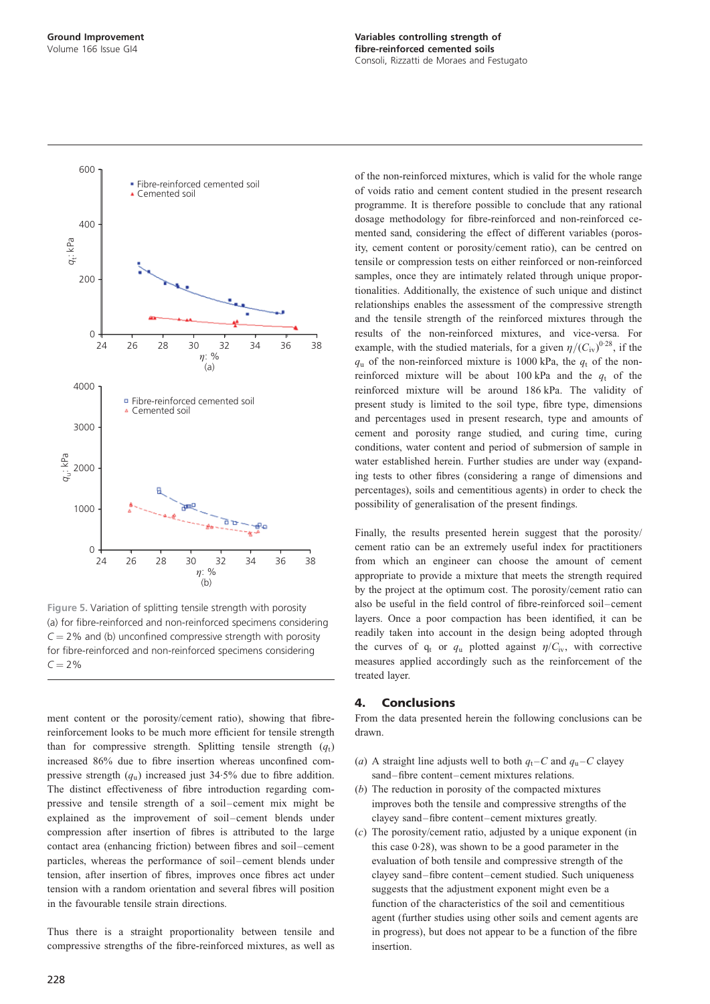

Figure 5. Variation of splitting tensile strength with porosity (a) for fibre-reinforced and non-reinforced specimens considering  $C = 2%$  and (b) unconfined compressive strength with porosity for fibre-reinforced and non-reinforced specimens considering  $C = 2%$ 

ment content or the porosity/cement ratio), showing that fibrereinforcement looks to be much more efficient for tensile strength than for compressive strength. Splitting tensile strength  $(q_t)$ increased 86% due to fibre insertion whereas unconfined compressive strength  $(q_u)$  increased just 34.5% due to fibre addition. The distinct effectiveness of fibre introduction regarding compressive and tensile strength of a soil–cement mix might be explained as the improvement of soil–cement blends under compression after insertion of fibres is attributed to the large contact area (enhancing friction) between fibres and soil–cement particles, whereas the performance of soil–cement blends under tension, after insertion of fibres, improves once fibres act under tension with a random orientation and several fibres will position in the favourable tensile strain directions.

Thus there is a straight proportionality between tensile and compressive strengths of the fibre-reinforced mixtures, as well as of the non-reinforced mixtures, which is valid for the whole range of voids ratio and cement content studied in the present research programme. It is therefore possible to conclude that any rational dosage methodology for fibre-reinforced and non-reinforced cemented sand, considering the effect of different variables (porosity, cement content or porosity/cement ratio), can be centred on tensile or compression tests on either reinforced or non-reinforced samples, once they are intimately related through unique proportionalities. Additionally, the existence of such unique and distinct relationships enables the assessment of the compressive strength and the tensile strength of the reinforced mixtures through the results of the non-reinforced mixtures, and vice-versa. For example, with the studied materials, for a given  $\eta/(C_{\text{iv}})^{0.28}$ , if the  $q_{\rm u}$  of the non-reinforced mixture is 1000 kPa, the  $q_{\rm t}$  of the nonreinforced mixture will be about 100 kPa and the  $q_t$  of the reinforced mixture will be around 186 kPa. The validity of present study is limited to the soil type, fibre type, dimensions and percentages used in present research, type and amounts of cement and porosity range studied, and curing time, curing conditions, water content and period of submersion of sample in water established herein. Further studies are under way (expanding tests to other fibres (considering a range of dimensions and percentages), soils and cementitious agents) in order to check the possibility of generalisation of the present findings.

Finally, the results presented herein suggest that the porosity/ cement ratio can be an extremely useful index for practitioners from which an engineer can choose the amount of cement appropriate to provide a mixture that meets the strength required by the project at the optimum cost. The porosity/cement ratio can also be useful in the field control of fibre-reinforced soil–cement layers. Once a poor compaction has been identified, it can be readily taken into account in the design being adopted through the curves of  $q_t$  or  $q_u$  plotted against  $\eta/C_{iv}$ , with corrective measures applied accordingly such as the reinforcement of the treated layer.

## 4. Conclusions

From the data presented herein the following conclusions can be drawn.

- (a) A straight line adjusts well to both  $q_t$ –C and  $q_u$ –C clayey sand–fibre content–cement mixtures relations.
- (b) The reduction in porosity of the compacted mixtures improves both the tensile and compressive strengths of the clayey sand–fibre content–cement mixtures greatly.
- (c) The porosity/cement ratio, adjusted by a unique exponent (in this case 0.28), was shown to be a good parameter in the evaluation of both tensile and compressive strength of the clayey sand–fibre content–cement studied. Such uniqueness suggests that the adjustment exponent might even be a function of the characteristics of the soil and cementitious agent (further studies using other soils and cement agents are in progress), but does not appear to be a function of the fibre insertion.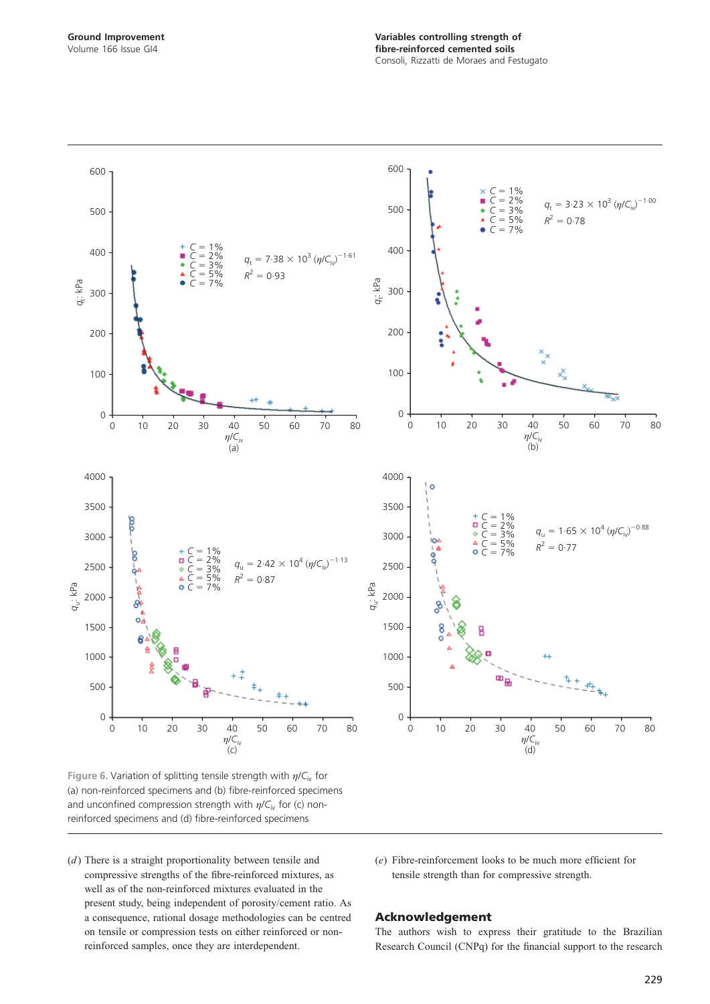

Figure 6. Variation of splitting tensile strength with  $\eta/C_{\text{iv}}$  for (a) non-reinforced specimens and (b) fibre-reinforced specimens and unconfined compression strength with  $\eta/C_{\text{iv}}$  for (c) nonreinforced specimens and (d) fibre-reinforced specimens

(d) There is a straight proportionality between tensile and compressive strengths of the fibre-reinforced mixtures, as well as of the non-reinforced mixtures evaluated in the present study, being independent of porosity/cement ratio. As a consequence, rational dosage methodologies can be centred on tensile or compression tests on either reinforced or nonreinforced samples, once they are interdependent.

# (e) Fibre-reinforcement looks to be much more efficient for tensile strength than for compressive strength.

# Acknowledgement

The authors wish to express their gratitude to the Brazilian Research Council (CNPq) for the financial support to the research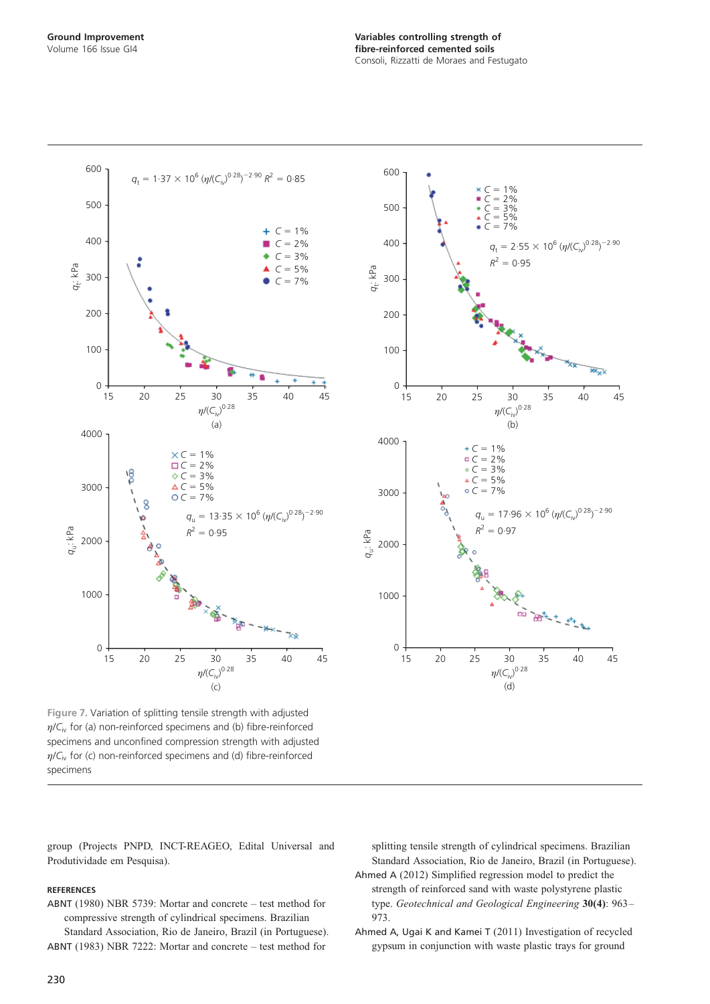600



Figure 7. Variation of splitting tensile strength with adjusted  $\eta$ /C<sub>iv</sub> for (a) non-reinforced specimens and (b) fibre-reinforced specimens and unconfined compression strength with adjusted  $\eta$ /C<sub>iv</sub> for (c) non-reinforced specimens and (d) fibre-reinforced specimens



group (Projects PNPD, INCT-REAGEO, Edital Universal and Produtividade em Pesquisa).

#### **REFERENCES**

ABNT (1980) NBR 5739: Mortar and concrete – test method for compressive strength of cylindrical specimens. Brazilian Standard Association, Rio de Janeiro, Brazil (in Portuguese). ABNT (1983) NBR 7222: Mortar and concrete – test method for

splitting tensile strength of cylindrical specimens. Brazilian Standard Association, Rio de Janeiro, Brazil (in Portuguese).

- Ahmed A (2012) Simplified regression model to predict the strength of reinforced sand with waste polystyrene plastic type. Geotechnical and Geological Engineering 30(4): 963– 973.
- Ahmed A, Ugai K and Kamei T (2011) Investigation of recycled gypsum in conjunction with waste plastic trays for ground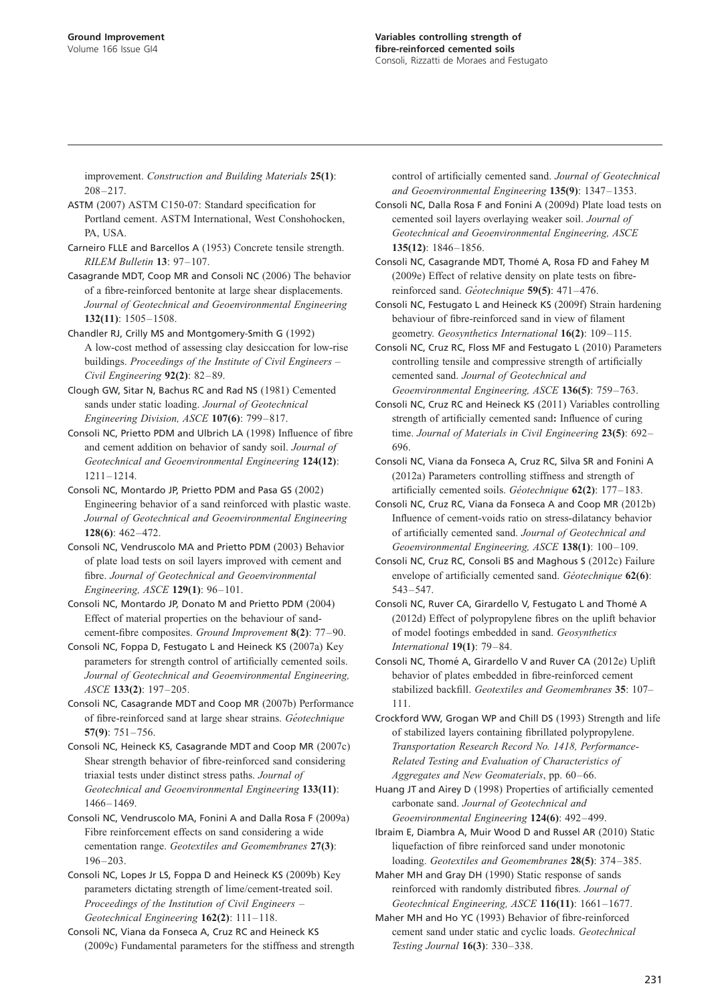improvement. Construction and Building Materials 25(1): 208–217.

- ASTM (2007) ASTM C150-07: Standard specification for Portland cement. ASTM International, West Conshohocken, PA, USA.
- Carneiro FLLE and Barcellos A (1953) Concrete tensile strength. RILEM Bulletin 13: 97–107.
- Casagrande MDT, Coop MR and Consoli NC (2006) The behavior of a fibre-reinforced bentonite at large shear displacements. Journal of Geotechnical and Geoenvironmental Engineering 132(11): 1505–1508.
- Chandler RJ, Crilly MS and Montgomery-Smith G (1992) A low-cost method of assessing clay desiccation for low-rise buildings. Proceedings of the Institute of Civil Engineers – Civil Engineering 92(2): 82–89.
- Clough GW, Sitar N, Bachus RC and Rad NS (1981) Cemented sands under static loading. Journal of Geotechnical Engineering Division, ASCE 107(6): 799–817.
- Consoli NC, Prietto PDM and Ulbrich LA (1998) Influence of fibre and cement addition on behavior of sandy soil. Journal of Geotechnical and Geoenvironmental Engineering 124(12): 1211–1214.
- Consoli NC, Montardo JP, Prietto PDM and Pasa GS (2002) Engineering behavior of a sand reinforced with plastic waste. Journal of Geotechnical and Geoenvironmental Engineering  $128(6)$ : 462-472.
- Consoli NC, Vendruscolo MA and Prietto PDM (2003) Behavior of plate load tests on soil layers improved with cement and fibre. Journal of Geotechnical and Geoenvironmental Engineering, ASCE 129(1): 96–101.
- Consoli NC, Montardo JP, Donato M and Prietto PDM (2004) Effect of material properties on the behaviour of sandcement-fibre composites. Ground Improvement 8(2): 77–90.
- Consoli NC, Foppa D, Festugato L and Heineck KS (2007a) Key parameters for strength control of artificially cemented soils. Journal of Geotechnical and Geoenvironmental Engineering, ASCE 133(2): 197–205.
- Consoli NC, Casagrande MDT and Coop MR (2007b) Performance of fibre-reinforced sand at large shear strains. Géotechnique 57(9): 751–756.
- Consoli NC, Heineck KS, Casagrande MDT and Coop MR (2007c) Shear strength behavior of fibre-reinforced sand considering triaxial tests under distinct stress paths. Journal of Geotechnical and Geoenvironmental Engineering 133(11): 1466–1469.
- Consoli NC, Vendruscolo MA, Fonini A and Dalla Rosa F (2009a) Fibre reinforcement effects on sand considering a wide cementation range. Geotextiles and Geomembranes 27(3): 196–203.
- Consoli NC, Lopes Jr LS, Foppa D and Heineck KS (2009b) Key parameters dictating strength of lime/cement-treated soil. Proceedings of the Institution of Civil Engineers – Geotechnical Engineering 162(2): 111–118.
- Consoli NC, Viana da Fonseca A, Cruz RC and Heineck KS (2009c) Fundamental parameters for the stiffness and strength

control of artificially cemented sand. Journal of Geotechnical and Geoenvironmental Engineering 135(9): 1347–1353.

Consoli NC, Dalla Rosa F and Fonini A (2009d) Plate load tests on cemented soil layers overlaying weaker soil. Journal of Geotechnical and Geoenvironmental Engineering, ASCE 135(12): 1846–1856.

Consoli NC, Casagrande MDT, Thomé A, Rosa FD and Fahey M (2009e) Effect of relative density on plate tests on fibrereinforced sand. Géotechnique 59(5): 471-476.

Consoli NC, Festugato L and Heineck KS (2009f) Strain hardening behaviour of fibre-reinforced sand in view of filament geometry. Geosynthetics International 16(2): 109–115.

- Consoli NC, Cruz RC, Floss MF and Festugato L (2010) Parameters controlling tensile and compressive strength of artificially cemented sand. Journal of Geotechnical and Geoenvironmental Engineering, ASCE 136(5): 759–763.
- Consoli NC, Cruz RC and Heineck KS (2011) Variables controlling strength of artificially cemented sand: Influence of curing time. Journal of Materials in Civil Engineering 23(5): 692– 696.
- Consoli NC, Viana da Fonseca A, Cruz RC, Silva SR and Fonini A (2012a) Parameters controlling stiffness and strength of artificially cemented soils. Géotechnique 62(2): 177-183.
- Consoli NC, Cruz RC, Viana da Fonseca A and Coop MR (2012b) Influence of cement-voids ratio on stress-dilatancy behavior of artificially cemented sand. Journal of Geotechnical and Geoenvironmental Engineering, ASCE 138(1): 100–109.
- Consoli NC, Cruz RC, Consoli BS and Maghous S (2012c) Failure envelope of artificially cemented sand. Géotechnique 62(6): 543–547.
- Consoli NC, Ruver CA, Girardello V, Festugato L and Thome´ A (2012d) Effect of polypropylene fibres on the uplift behavior of model footings embedded in sand. Geosynthetics International 19(1): 79–84.
- Consoli NC, Thomé A, Girardello V and Ruver CA (2012e) Uplift behavior of plates embedded in fibre-reinforced cement stabilized backfill. Geotextiles and Geomembranes 35: 107– 111.

Crockford WW, Grogan WP and Chill DS (1993) Strength and life of stabilized layers containing fibrillated polypropylene. Transportation Research Record No. 1418, Performance-Related Testing and Evaluation of Characteristics of Aggregates and New Geomaterials, pp. 60–66.

Huang JT and Airey D (1998) Properties of artificially cemented carbonate sand. Journal of Geotechnical and Geoenvironmental Engineering 124(6): 492–499.

Ibraim E, Diambra A, Muir Wood D and Russel AR (2010) Static liquefaction of fibre reinforced sand under monotonic loading. Geotextiles and Geomembranes 28(5): 374-385.

Maher MH and Gray DH (1990) Static response of sands reinforced with randomly distributed fibres. Journal of Geotechnical Engineering, ASCE 116(11): 1661–1677.

Maher MH and Ho YC (1993) Behavior of fibre-reinforced cement sand under static and cyclic loads. Geotechnical Testing Journal 16(3): 330–338.